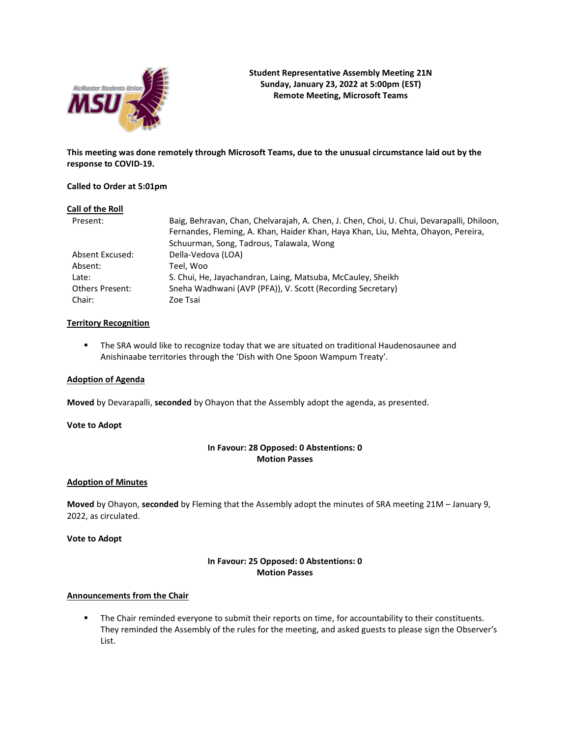

**This meeting was done remotely through Microsoft Teams, due to the unusual circumstance laid out by the response to COVID-19.**

# **Called to Order at 5:01pm**

### **Call of the Roll**

| Present:        | Baig, Behravan, Chan, Chelvarajah, A. Chen, J. Chen, Choi, U. Chui, Devarapalli, Dhiloon, |
|-----------------|-------------------------------------------------------------------------------------------|
|                 | Fernandes, Fleming, A. Khan, Haider Khan, Haya Khan, Liu, Mehta, Ohayon, Pereira,         |
|                 | Schuurman, Song, Tadrous, Talawala, Wong                                                  |
| Absent Excused: | Della-Vedova (LOA)                                                                        |
| Absent:         | Teel. Woo                                                                                 |
| Late:           | S. Chui, He, Jayachandran, Laing, Matsuba, McCauley, Sheikh                               |
| Others Present: | Sneha Wadhwani (AVP (PFA)), V. Scott (Recording Secretary)                                |
| Chair:          | Zoe Tsai                                                                                  |

# **Territory Recognition**

**■** The SRA would like to recognize today that we are situated on traditional Haudenosaunee and Anishinaabe territories through the 'Dish with One Spoon Wampum Treaty'.

## **Adoption of Agenda**

**Moved** by Devarapalli, **seconded** by Ohayon that the Assembly adopt the agenda, as presented.

## **Vote to Adopt**

# **In Favour: 28 Opposed: 0 Abstentions: 0 Motion Passes**

# **Adoption of Minutes**

**Moved** by Ohayon, **seconded** by Fleming that the Assembly adopt the minutes of SRA meeting 21M – January 9, 2022, as circulated.

**Vote to Adopt**

# **In Favour: 25 Opposed: 0 Abstentions: 0 Motion Passes**

### **Announcements from the Chair**

**•** The Chair reminded everyone to submit their reports on time, for accountability to their constituents. They reminded the Assembly of the rules for the meeting, and asked guests to please sign the Observer's List.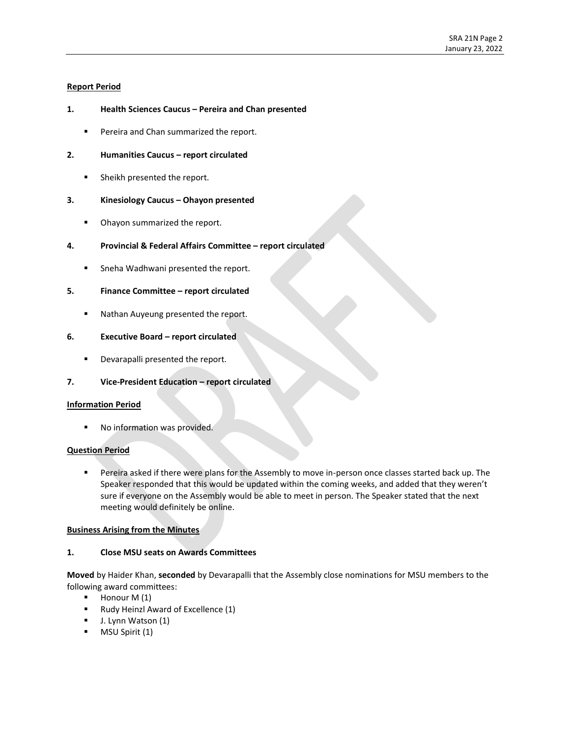# **Report Period**

# **1. Health Sciences Caucus – Pereira and Chan presented**

■ Pereira and Chan summarized the report.

## **2. Humanities Caucus – report circulated**

**EXEC** Sheikh presented the report.

# **3. Kinesiology Caucus – Ohayon presented**

■ Ohayon summarized the report.

# **4. Provincial & Federal Affairs Committee – report circulated**

■ Sneha Wadhwani presented the report.

# **5. Finance Committee – report circulated**

■ Nathan Auyeung presented the report.

# **6. Executive Board – report circulated**

■ Devarapalli presented the report.

# **7. Vice-President Education – report circulated**

### **Information Period**

No information was provided.

### **Question Period**

**•** Pereira asked if there were plans for the Assembly to move in-person once classes started back up. The Speaker responded that this would be updated within the coming weeks, and added that they weren't sure if everyone on the Assembly would be able to meet in person. The Speaker stated that the next meeting would definitely be online.

# **Business Arising from the Minutes**

## **1. Close MSU seats on Awards Committees**

**Moved** by Haider Khan, **seconded** by Devarapalli that the Assembly close nominations for MSU members to the following award committees: 

- Honour M (1)
- Rudy Heinzl Award of Excellence (1)
- J. Lynn Watson (1)
- MSU Spirit (1)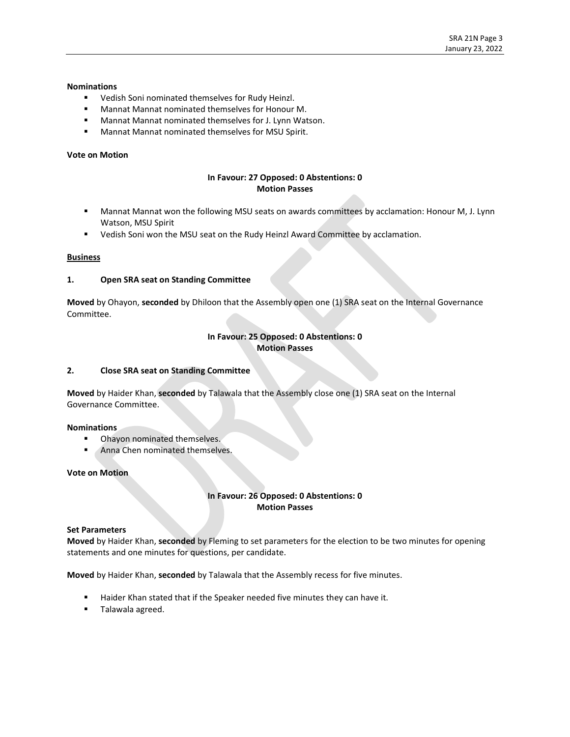## **Nominations**

- Vedish Soni nominated themselves for Rudy Heinzl.
- Mannat Mannat nominated themselves for Honour M.
- Mannat Mannat nominated themselves for J. Lynn Watson.
- Mannat Mannat nominated themselves for MSU Spirit.

#### **Vote on Motion**

# **In Favour: 27 Opposed: 0 Abstentions: 0 Motion Passes**

- Mannat Mannat won the following MSU seats on awards committees by acclamation: Honour M, J. Lynn Watson, MSU Spirit
- Vedish Soni won the MSU seat on the Rudy Heinzl Award Committee by acclamation.

#### **Business**

#### **1. Open SRA seat on Standing Committee**

**Moved** by Ohayon, **seconded** by Dhiloon that the Assembly open one (1) SRA seat on the Internal Governance Committee.

### **In Favour: 25 Opposed: 0 Abstentions: 0 Motion Passes**

#### **2. Close SRA seat on Standing Committee**

**Moved** by Haider Khan, **seconded** by Talawala that the Assembly close one (1) SRA seat on the Internal Governance Committee.

### **Nominations**

- **■** Ohayon nominated themselves.
- Anna Chen nominated themselves.

### **Vote on Motion**

# **In Favour: 26 Opposed: 0 Abstentions: 0 Motion Passes**

### **Set Parameters**

**Moved** by Haider Khan, **seconded** by Fleming to set parameters for the election to be two minutes for opening statements and one minutes for questions, per candidate.

**Moved** by Haider Khan, **seconded** by Talawala that the Assembly recess for five minutes.

- Haider Khan stated that if the Speaker needed five minutes they can have it.
- Talawala agreed.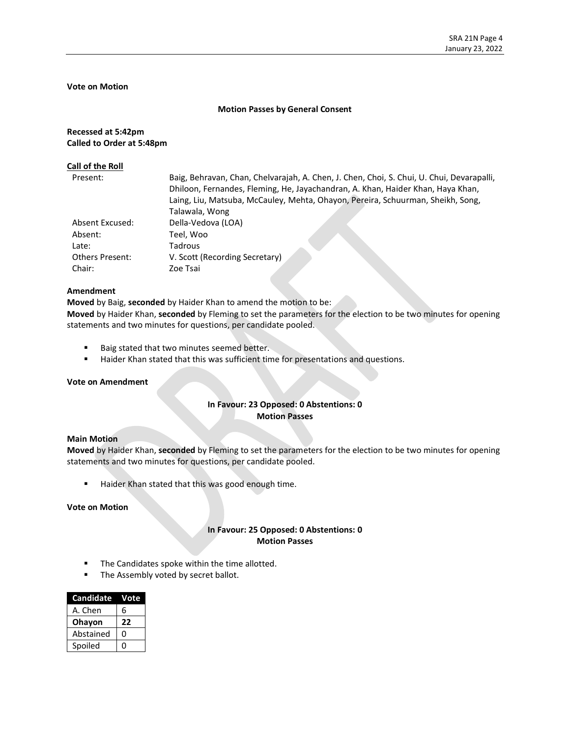## **Vote on Motion**

#### **Motion Passes by General Consent**

# **Recessed at 5:42pm Called to Order at 5:48pm**

#### **Call of the Roll**

| Present:               | Baig, Behravan, Chan, Chelvarajah, A. Chen, J. Chen, Choi, S. Chui, U. Chui, Devarapalli, |
|------------------------|-------------------------------------------------------------------------------------------|
|                        | Dhiloon, Fernandes, Fleming, He, Jayachandran, A. Khan, Haider Khan, Haya Khan,           |
|                        | Laing, Liu, Matsuba, McCauley, Mehta, Ohayon, Pereira, Schuurman, Sheikh, Song,           |
|                        | Talawala, Wong                                                                            |
| Absent Excused:        | Della-Vedova (LOA)                                                                        |
| Absent:                | Teel, Woo                                                                                 |
| Late:                  | Tadrous                                                                                   |
| <b>Others Present:</b> | V. Scott (Recording Secretary)                                                            |
| Chair:                 | Zoe Tsai                                                                                  |

# **Amendment**

**Moved** by Baig, **seconded** by Haider Khan to amend the motion to be:

**Moved** by Haider Khan, **seconded** by Fleming to set the parameters for the election to be two minutes for opening statements and two minutes for questions, per candidate pooled.

- Baig stated that two minutes seemed better.
- Haider Khan stated that this was sufficient time for presentations and questions.

#### **Vote on Amendment**

# **In Favour: 23 Opposed: 0 Abstentions: 0 Motion Passes**

#### **Main Motion**

**Moved** by Haider Khan, **seconded** by Fleming to set the parameters for the election to be two minutes for opening statements and two minutes for questions, per candidate pooled.

■ Haider Khan stated that this was good enough time.

**Vote on Motion**

# **In Favour: 25 Opposed: 0 Abstentions: 0 Motion Passes**

- The Candidates spoke within the time allotted.
- **■** The Assembly voted by secret ballot.

| <b>Candidate</b> | Vote |
|------------------|------|
| A. Chen          | 6    |
| Ohayon           | 22   |
| Abstained        | O    |
| Spoiled          |      |